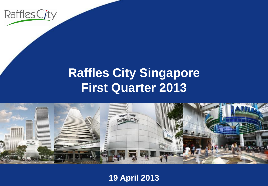

## **Raffles City Singapore First Quarter 2013**



**19 April 2013**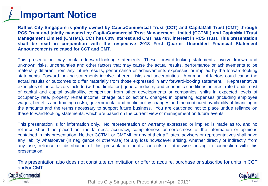# **Important Notice**

**Raffles City Singapore is jointly owned by CapitaCommercial Trust (CCT) and CapitaMall Trust (CMT) through RCS Trust and jointly managed by CapitaCommercial Trust Management Limited (CCTML) and CapitaMall Trust Management Limited (CMTML). CCT has 60% interest and CMT has 40% interest in RCS Trust. This presentation shall be read in conjunction with the respective 2013 First Quarter Unaudited Financial Statement Announcements released for CCT and CMT.**

This presentation may contain forward-looking statements. These forward-looking statements involve known and unknown risks, uncertainties and other factors that may cause the actual results, performance or achievements to be materially different from any future results, performance or achievements expressed or implied by the forward-looking statements. Forward-looking statements involve inherent risks and uncertainties. A number of factors could cause the actual results or outcomes to differ materially from those expressed in any forward-looking statement. Representative examples of these factors include (without limitation) general industry and economic conditions, interest rate trends, cost of capital and capital availability, competition from other developments or companies, shifts in expected levels of occupancy rate, property rental income, charge out collections, changes in operating expenses (including employee wages, benefits and training costs), governmental and public policy changes and the continued availability of financing in the amounts and the terms necessary to support future business. You are cautioned not to place undue reliance on these forward-looking statements, which are based on the current view of management on future events.

This presentation is for information only. No representation or warranty expressed or implied is made as to, and no reliance should be placed on, the fairness, accuracy, completeness or correctness of the information or opinions contained in this presentation. Neither CCTML or CMTML or any of their affiliates, advisers or representatives shall have any liability whatsoever (in negligence or otherwise) for any loss howsoever arising, whether directly or indirectly, from any use, reliance or distribution of this presentation or its contents or otherwise arising in connection with this presentation.

This presentation also does not constitute an invitation or offer to acquire, purchase or subscribe for units in CCT and/or CMT.

### ap/taCommercial



Trust **Example 2013** Raffles City Singapore Presentation \*April 2013\*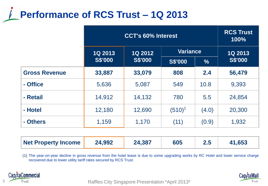# **Performance of RCS Trust – 1Q 2013**

|                      | <b>CCT's 60% Interest</b> |                                  |                 |               | <b>RCS Trust</b><br>100% |
|----------------------|---------------------------|----------------------------------|-----------------|---------------|--------------------------|
|                      | <b>1Q 2013</b>            | <b>1Q 2012</b><br><b>S\$'000</b> | <b>Variance</b> |               | <b>1Q 2013</b>           |
|                      | <b>S\$'000</b>            |                                  | <b>S\$'000</b>  | $\frac{0}{6}$ | <b>S\$'000</b>           |
| <b>Gross Revenue</b> | 33,887                    | 33,079                           | 808             | 2.4           | 56,479                   |
| - Office             | 5,636                     | 5,087                            | 549             | 10.8          | 9,393                    |
| - Retail             | 14,912                    | 14,132                           | 780             | 5.5           | 24,854                   |
| - Hotel              | 12,180                    | 12,690                           | $(510)^1$       | (4.0)         | 20,300                   |
| - Others             | 1,159                     | 1,170                            | (11)            | (0.9)         | 1,932                    |

(1) The year-on-year decline in gross revenue from the hotel lease is due to some upgrading works by RC Hotel and lower service charge recovered due to lower utility tariff rates secured by RCS Trust.





Trust Trust **Raffles City Singapore Presentation \*April 2013\***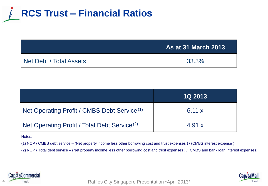

|                         | <b>As at 31 March 2013</b> |
|-------------------------|----------------------------|
| Net Debt / Total Assets | 33.3%                      |

|                                                          | <b>1Q 2013</b> |
|----------------------------------------------------------|----------------|
| Net Operating Profit / CMBS Debt Service <sup>(1)</sup>  | 6.11 $\times$  |
| Net Operating Profit / Total Debt Service <sup>(2)</sup> | 4.91 $x$       |

Notes:

(1) NOP / CMBS debt service – (Net property income less other borrowing cost and trust expenses ) / (CMBS interest expense )

(2) NOP / Total debt service – (Net property income less other borrowing cost and trust expenses ) / (CMBS and bank loan interest expenses)



Trust **Acker City Singapore Presentation \*April 2013\*** 4 Raffles City Singapore Presentation \*April 2013

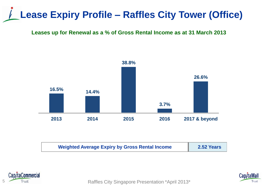# **Lease Expiry Profile – Raffles City Tower (Office)**

#### **Leases up for Renewal as a % of Gross Rental Income as at 31 March 2013**



| <b>Weighted Average Expiry by Gross Rental Income</b> | 2.52 Years |
|-------------------------------------------------------|------------|
|                                                       |            |



Trust Trust Trust **Raffles City Singapore Presentation \*April 2013**\*

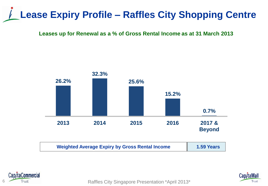# **Lease Expiry Profile – Raffles City Shopping Centre**

**Leases up for Renewal as a % of Gross Rental Income as at 31 March 2013**





6 Trust Trust **Raffles City Singapore Presentation \*April 2013\*** 

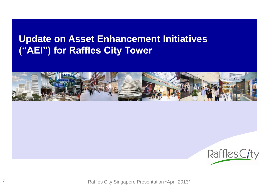## **Update on Asset Enhancement Initiatives ("AEI") for Raffles City Tower**





Raffles City Singapore Presentation \*April 2013\*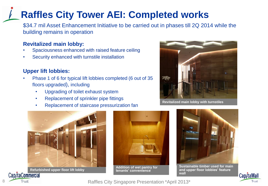## **Raffles City Tower AEI: Completed works**

\$34.7 mil Asset Enhancement Initiative to be carried out in phases till 2Q 2014 while the building remains in operation

#### **Revitalized main lobby:**

- Spaciousness enhanced with raised feature ceiling
- Security enhanced with turnstile installation

#### **Upper lift lobbies:**

- Phase 1 of 6 for typical lift lobbies completed (6 out of 35 floors upgraded), including
	- Upgrading of toilet exhaust system
	- Replacement of sprinkler pipe fittings
	- Replacement of staircase pressurization fan



**Revitalized main lobby with turnstiles** 



**Refurbished upper floor lift lobby /taCommercial** 



**Addition of wet pantry for tenants' convenience**



**Sustainable timber used for main and upper floor lobbies' feature wall** 



Raffles City Singapore Presentation \*April 2013\* Raffles City Singapore Presentation \*April 2013\*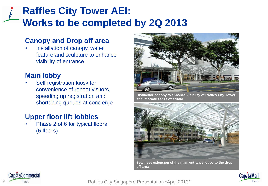## **Raffles City Tower AEI: Works to be completed by 2Q 2013**

### **Canopy and Drop off area**

Installation of canopy, water feature and sculpture to enhance visibility of entrance

### **Main lobby**

Self registration kiosk for convenience of repeat visitors, speeding up registration and shortening queues at concierge

## **Upper floor lift lobbies**

• Phase 2 of 6 for typical floors (6 floors)



**Distinctive canopy to enhance visibility of Raffles City Tower and improve sense of arrival**



**Seamless extension of the main entrance lobby to the drop off area**





Trust **Example 2013** Raffles City Singapore Presentation \*April 2013\*